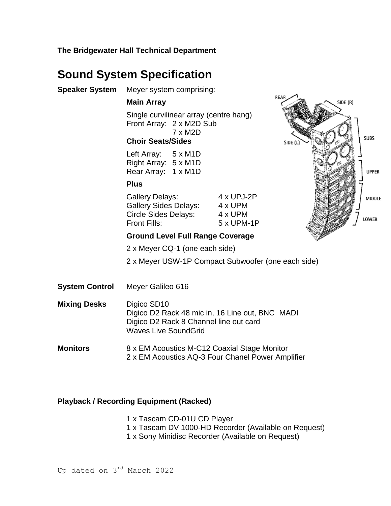**The Bridgewater Hall Technical Department**

# **Sound System Specification**

| Speaker System | Meyer system comprising:                                                                                  |                                                        |
|----------------|-----------------------------------------------------------------------------------------------------------|--------------------------------------------------------|
|                | <b>Main Array</b>                                                                                         |                                                        |
|                | Single curvilinear array (centre hang)<br>Front Array: 2 x M2D Sub<br>7 x M2D<br><b>Choir Seats/Sides</b> |                                                        |
|                | Left Array: $5 \times M1D$<br>Right Array: 5 x M1D<br>Rear Array: 1 x M1D                                 |                                                        |
|                | <b>Plus</b>                                                                                               |                                                        |
|                | <b>Gallery Delays:</b><br>Gallery Sides Delays:<br>Circle Sides Delays:<br><b>Front Fills:</b>            | $4 \times UP$ J-2P<br>4 x UPM<br>4 x UPM<br>5 x UPM-1P |
|                | <b>Ground Level Full Range Coverage</b>                                                                   |                                                        |
|                | 2 x Meyer CQ-1 (one each side)                                                                            |                                                        |
|                | 2 x Meyer USW-1P Compact Subwoofer                                                                        |                                                        |
|                |                                                                                                           |                                                        |

**System Control** Meyer Galileo 616

**Mixing Desks** Digico SD10 Digico D2 Rack 48 mic in, 16 Line out, BNC MADI Digico D2 Rack 8 Channel line out card Waves Live SoundGrid

**Monitors** 8 x EM Acoustics M-C12 Coaxial Stage Monitor 2 x EM Acoustics AQ-3 Four Chanel Power Amplifier

## **Playback / Recording Equipment (Racked)**

1 x Tascam CD-01U CD Player

1 x Tascam DV 1000-HD Recorder (Available on Request)

(one each side)

SIDE (R)

**SUBS** 

**UPPER** 

MIDDLE

LOWER

1 x Sony Minidisc Recorder (Available on Request)